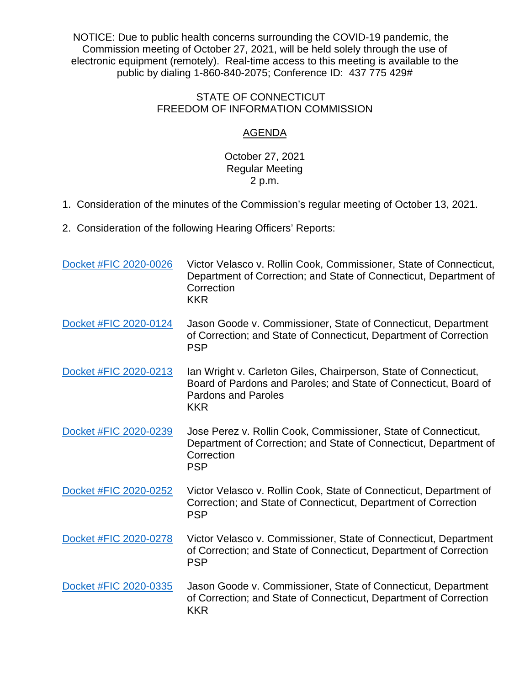NOTICE: Due to public health concerns surrounding the COVID-19 pandemic, the Commission meeting of October 27, 2021, will be held solely through the use of electronic equipment (remotely). Real-time access to this meeting is available to the public by dialing 1-860-840-2075; Conference ID: 437 775 429#

## STATE OF CONNECTICUT FREEDOM OF INFORMATION COMMISSION

## AGENDA

## October 27, 2021 Regular Meeting 2 p.m.

- 1. Consideration of the minutes of the Commission's regular meeting of October 13, 2021.
- 2. Consideration of the following Hearing Officers' Reports:

| Docket #FIC 2020-0026 | Victor Velasco v. Rollin Cook, Commissioner, State of Connecticut,<br>Department of Correction; and State of Connecticut, Department of<br>Correction<br><b>KKR</b>              |
|-----------------------|----------------------------------------------------------------------------------------------------------------------------------------------------------------------------------|
| Docket #FIC 2020-0124 | Jason Goode v. Commissioner, State of Connecticut, Department<br>of Correction; and State of Connecticut, Department of Correction<br><b>PSP</b>                                 |
| Docket #FIC 2020-0213 | Ian Wright v. Carleton Giles, Chairperson, State of Connecticut,<br>Board of Pardons and Paroles; and State of Connecticut, Board of<br><b>Pardons and Paroles</b><br><b>KKR</b> |
| Docket #FIC 2020-0239 | Jose Perez v. Rollin Cook, Commissioner, State of Connecticut,<br>Department of Correction; and State of Connecticut, Department of<br>Correction<br><b>PSP</b>                  |
| Docket #FIC 2020-0252 | Victor Velasco v. Rollin Cook, State of Connecticut, Department of<br>Correction; and State of Connecticut, Department of Correction<br><b>PSP</b>                               |
| Docket #FIC 2020-0278 | Victor Velasco v. Commissioner, State of Connecticut, Department<br>of Correction; and State of Connecticut, Department of Correction<br><b>PSP</b>                              |
| Docket #FIC 2020-0335 | Jason Goode v. Commissioner, State of Connecticut, Department<br>of Correction; and State of Connecticut, Department of Correction<br><b>KKR</b>                                 |